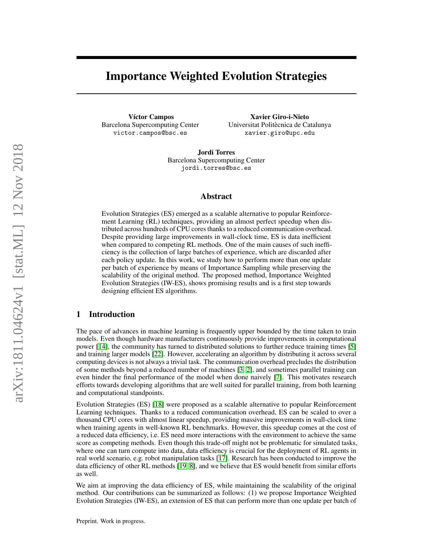# Importance Weighted Evolution Strategies

Víctor Campos Barcelona Supercomputing Center victor.campos@bsc.es

Xavier Giro-i-Nieto Universitat Politècnica de Catalunya xavier.giro@upc.edu

Jordi Torres Barcelona Supercomputing Center jordi.torres@bsc.es

### Abstract

Evolution Strategies (ES) emerged as a scalable alternative to popular Reinforcement Learning (RL) techniques, providing an almost perfect speedup when distributed across hundreds of CPU cores thanks to a reduced communication overhead. Despite providing large improvements in wall-clock time, ES is data inefficient when compared to competing RL methods. One of the main causes of such inefficiency is the collection of large batches of experience, which are discarded after each policy update. In this work, we study how to perform more than one update per batch of experience by means of Importance Sampling while preserving the scalability of the original method. The proposed method, Importance Weighted Evolution Strategies (IW-ES), shows promising results and is a first step towards designing efficient ES algorithms.

# 1 Introduction

The pace of advances in machine learning is frequently upper bounded by the time taken to train models. Even though hardware manufacturers continuously provide improvements in computational power [\[14\]](#page-6-0), the community has turned to distributed solutions to further reduce training times [\[5\]](#page-6-1) and training larger models [\[22\]](#page-6-2). However, accelerating an algorithm by distributing it across several computing devices is not always a trivial task. The communication overhead precludes the distribution of some methods beyond a reduced number of machines [\[3,](#page-6-3) [2\]](#page-6-4), and sometimes parallel training can even hinder the final performance of the model when done naively [\[7\]](#page-6-5). This motivates research efforts towards developing algorithms that are well suited for parallel training, from both learning and computational standpoints.

Evolution Strategies (ES) [\[18\]](#page-6-6) were proposed as a scalable alternative to popular Reinforcement Learning techniques. Thanks to a reduced communication overhead, ES can be scaled to over a thousand CPU cores with almost linear speedup, providing massive improvements in wall-clock time when training agents in well-known RL benchmarks. However, this speedup comes at the cost of a reduced data efficiency, i.e. ES need more interactions with the environment to achieve the same score as competing methods. Even though this trade-off might not be problematic for simulated tasks, where one can turn compute into data, data efficiency is crucial for the deployment of RL agents in real world scenario, e.g. robot manipulation tasks [\[17\]](#page-6-7). Research has been conducted to improve the data efficiency of other RL methods [\[19,](#page-6-8) [8\]](#page-6-9), and we believe that ES would benefit from similar efforts as well.

We aim at improving the data efficiency of ES, while maintaining the scalability of the original method. Our contributions can be summarized as follows: (1) we propose Importance Weighted Evolution Strategies (IW-ES), an extension of ES that can perform more than one update per batch of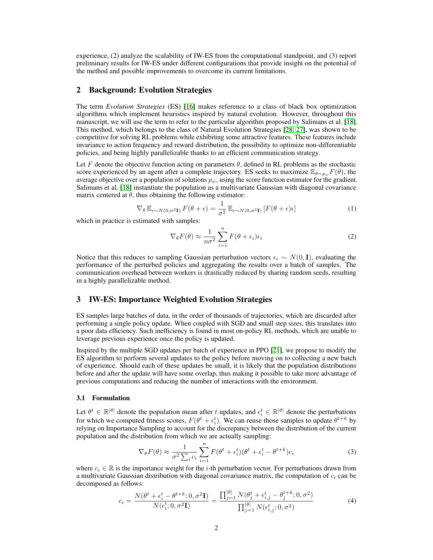experience, (2) analyze the scalability of IW-ES from the computational standpoint, and (3) report preliminary results for IW-ES under different configurations that provide insight on the potential of the method and possible improvements to overcome its current limitations.

### 2 Background: Evolution Strategies

The term *Evolution Strategies* (ES) [\[16\]](#page-6-10) makes reference to a class of black box optimization algorithms which implement heuristics inspired by natural evolution. However, throughout this manuscript, we will use the term to refer to the particular algorithm proposed by Salimans et al. [\[18\]](#page-6-6). This method, which belongs to the class of Natural Evolution Strategies [\[28,](#page-7-0) [27\]](#page-7-1), was shown to be competitive for solving RL problems while exhibiting some attractive features. These features include invariance to action frequency and reward distribution, the possibility to optimize non-differentiable policies, and being highly parallelizable thanks to an efficient communication strategy.

Let F denote the objective function acting on parameters  $\theta$ , defined in RL problems as the stochastic score experienced by an agent after a complete trajectory. ES seeks to maximize  $\mathbb{E}_{\theta \sim p_{\psi}} F(\theta)$ , the average objective over a population of solutions  $p_{\psi}$ , using the score function estimator for the gradient. Salimans et al. [\[18\]](#page-6-6) instantiate the population as a multivariate Gaussian with diagonal covariance matrix centered at  $\theta$ , thus obtaining the following estimator:

$$
\nabla_{\theta} \mathbb{E}_{\epsilon \sim N(0,\sigma^2 \mathbf{I})} F(\theta + \epsilon) = \frac{1}{\sigma^2} \mathbb{E}_{\epsilon \sim N(0,\sigma^2 \mathbf{I})} [F(\theta + \epsilon)\epsilon]
$$
(1)

which in practice is estimated with samples:

<span id="page-1-1"></span>
$$
\nabla_{\theta} F(\theta) \approx \frac{1}{n\sigma^2} \sum_{i=1}^{n} F(\theta + \epsilon_i) \epsilon_i
$$
 (2)

Notice that this reduces to sampling Gaussian perturbation vectors  $\epsilon_i \sim N(0, I)$ , evaluating the performance of the perturbed policies and aggregating the results over a batch of samples. The communication overhead between workers is drastically reduced by sharing random seeds, resulting in a highly parallelizable method.

# 3 IW-ES: Importance Weighted Evolution Strategies

ES samples large batches of data, in the order of thousands of trajectories, which are discarded after performing a single policy update. When coupled with SGD and small step sizes, this translates into a poor data efficiency. Such inefficiency is found in most on-policy RL methods, which are unable to leverage previous experience once the policy is updated.

Inspired by the multiple SGD updates per batch of experience in PPO [\[21\]](#page-6-11), we propose to modify the ES algorithm to perform several updates to the policy before moving on to collecting a new batch of experience. Should each of these updates be small, it is likely that the population distributions before and after the update will have some overlap, thus making it possible to take more advantage of previous computations and reducing the number of interactions with the environment.

#### 3.1 Formulation

Let  $\theta^t \in \mathbb{R}^{|\theta|}$  denote the population mean after t updates, and  $\epsilon_i^t \in \mathbb{R}^{|\theta|}$  denote the perturbations for which we computed fitness scores,  $F(\theta^t + \epsilon_i^t)$ . We can reuse those samples to update  $\theta^{t+k}$  by relying on Importance Sampling to account for the discrepancy between the distribution of the current population and the distribution from which we are actually sampling:

$$
\nabla_{\theta} F(\theta) \approx \frac{1}{\sigma^2 \sum_i c_i} \sum_{i=1}^n F(\theta^t + \epsilon_i^t) (\theta^t + \epsilon_i^t - \theta^{t+k}) c_i
$$
\n(3)

where  $c_i \in \mathbb{R}$  is the importance weight for the *i*-th perturbation vector. For perturbations drawn from a multivariate Gaussian distribution with diagonal covariance matrix, the computation of  $c_i$  can be decomposed as follows:

<span id="page-1-0"></span>
$$
c_i = \frac{N(\theta^t + \epsilon_i^t - \theta^{t+k}; 0, \sigma^2 \mathbf{I})}{N(\epsilon_i^t; 0, \sigma^2 \mathbf{I})} = \frac{\prod_{j=1}^{|\theta|} N(\theta_j^t + \epsilon_{i,j}^t - \theta_j^{t+k}; 0, \sigma^2)}{\prod_{j=1}^{|\theta|} N(\epsilon_{i,j}^t; 0, \sigma^2)}
$$
(4)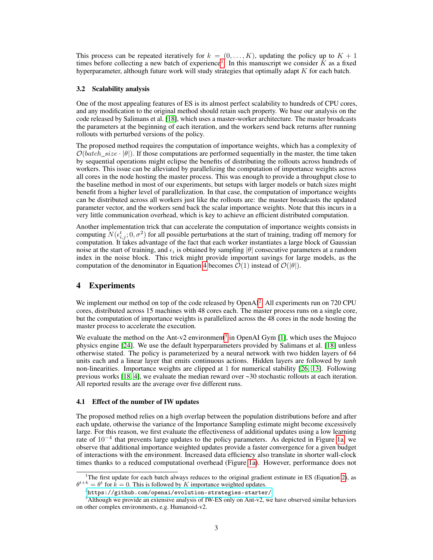This process can be repeated iteratively for  $k = (0, \ldots, K)$ , updating the policy up to  $K + 1$ times before collecting a new batch of experience<sup>[1](#page-2-0)</sup>. In this manuscript we consider  $\tilde{K}$  as a fixed hyperparameter, although future work will study strategies that optimally adapt  $K$  for each batch.

#### <span id="page-2-3"></span>3.2 Scalability analysis

One of the most appealing features of ES is its almost perfect scalability to hundreds of CPU cores, and any modification to the original method should retain such property. We base our analysis on the code released by Salimans et al. [\[18\]](#page-6-6), which uses a master-worker architecture. The master broadcasts the parameters at the beginning of each iteration, and the workers send back returns after running rollouts with perturbed versions of the policy.

The proposed method requires the computation of importance weights, which has a complexity of  $\mathcal{O}(batch\_size \cdot |\theta|)$ . If those computations are performed sequentially in the master, the time taken by sequential operations might eclipse the benefits of distributing the rollouts across hundreds of workers. This issue can be alleviated by parallelizing the computation of importance weights across all cores in the node hosting the master process. This was enough to provide a throughput close to the baseline method in most of our experiments, but setups with larger models or batch sizes might benefit from a higher level of parallelization. In that case, the computation of importance weights can be distributed across all workers just like the rollouts are: the master broadcasts the updated parameter vector, and the workers send back the scalar importance weights. Note that this incurs in a very little communication overhead, which is key to achieve an efficient distributed computation.

Another implementation trick that can accelerate the computation of importance weights consists in computing  $N(\epsilon_{i,j}^t; 0, \sigma^2)$  for all possible perturbations at the start of training, trading off memory for computation. It takes advantage of the fact that each worker instantiates a large block of Gaussian noise at the start of training, and  $\epsilon_i$  is obtained by sampling  $|\theta|$  consecutive parameters at a random index in the noise block. This trick might provide important savings for large models, as the computation of the denominator in Equation [4](#page-1-0) becomes  $\mathcal{O}(1)$  instead of  $\mathcal{O}(|\theta|)$ .

# 4 Experiments

We implement our method on top of the code released by OpenAI<sup>[2](#page-2-1)</sup>. All experiments run on 720 CPU cores, distributed across 15 machines with 48 cores each. The master process runs on a single core, but the computation of importance weights is parallelized across the 48 cores in the node hosting the master process to accelerate the execution.

We evaluate the method on the Ant-v2 environment<sup>[3](#page-2-2)</sup> in OpenAI Gym [\[1\]](#page-5-0), which uses the Mujoco physics engine [\[24\]](#page-7-2). We use the default hyperparameters provided by Salimans et al. [\[18\]](#page-6-6) unless otherwise stated. The policy is parameterized by a neural network with two hidden layers of 64 units each and a linear layer that emits continuous actions. Hidden layers are followed by *tanh* non-linearities. Importance weights are clipped at 1 for numerical stability [\[26,](#page-7-3) [13\]](#page-6-12). Following previous works [\[18,](#page-6-6) [4\]](#page-6-13), we evaluate the median reward over ~30 stochastic rollouts at each iteration. All reported results are the average over five different runs.

#### 4.1 Effect of the number of IW updates

The proposed method relies on a high overlap between the population distributions before and after each update, otherwise the variance of the Importance Sampling estimate might become excessively large. For this reason, we first evaluate the effectiveness of additional updates using a low learning rate of 10<sup>−</sup><sup>4</sup> that prevents large updates to the policy parameters. As depicted in Figure [1a,](#page-3-0) we observe that additional importance weighted updates provide a faster convergence for a given budget of interactions with the environment. Increased data efficiency also translate in shorter wall-clock times thanks to a reduced computational overhead (Figure [1a\)](#page-3-0). However, performance does not

<span id="page-2-0"></span><sup>&</sup>lt;sup>1</sup>The first update for each batch always reduces to the original gradient estimate in ES (Equation [2\)](#page-1-1), as  $\theta^{t+k} = \theta^t$  for  $\hat{k} = 0$ . This is followed by K importance weighted updates.

<span id="page-2-2"></span><span id="page-2-1"></span> $^{2}$ <https://github.com/openai/evolution-strategies-starter/>

<sup>&</sup>lt;sup>3</sup>Although we provide an extensive analysis of IW-ES only on Ant-v2, we have observed similar behaviors on other complex environments, e.g. Humanoid-v2.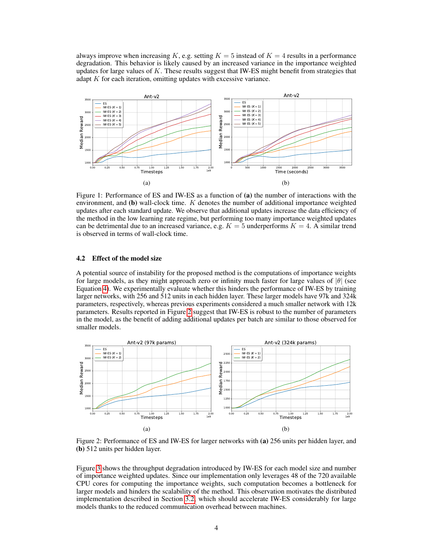always improve when increasing K, e.g. setting  $K = 5$  instead of  $K = 4$  results in a performance degradation. This behavior is likely caused by an increased variance in the importance weighted updates for large values of  $K$ . These results suggest that IW-ES might benefit from strategies that adapt  $K$  for each iteration, omitting updates with excessive variance.

<span id="page-3-0"></span>

Figure 1: Performance of ES and IW-ES as a function of (a) the number of interactions with the environment, and  $(b)$  wall-clock time. K denotes the number of additional importance weighted updates after each standard update. We observe that additional updates increase the data efficiency of the method in the low learning rate regime, but performing too many importance weighted updates can be detrimental due to an increased variance, e.g.  $K = 5$  underperforms  $K = 4$ . A similar trend is observed in terms of wall-clock time.

# 4.2 Effect of the model size

A potential source of instability for the proposed method is the computations of importance weights for large models, as they might approach zero or infinity much faster for large values of  $|\theta|$  (see Equation [4\)](#page-1-0). We experimentally evaluate whether this hinders the performance of IW-ES by training larger networks, with 256 and 512 units in each hidden layer. These larger models have 97k and 324k parameters, respectively, whereas previous experiments considered a much smaller network with 12k parameters. Results reported in Figure [2](#page-3-1) suggest that IW-ES is robust to the number of parameters in the model, as the benefit of adding additional updates per batch are similar to those observed for smaller models.

<span id="page-3-1"></span>

Figure 2: Performance of ES and IW-ES for larger networks with (a) 256 units per hidden layer, and (b) 512 units per hidden layer.

Figure [3](#page-4-0) shows the throughput degradation introduced by IW-ES for each model size and number of importance weighted updates. Since our implementation only leverages 48 of the 720 available CPU cores for computing the importance weights, such computation becomes a bottleneck for larger models and hinders the scalability of the method. This observation motivates the distributed implementation described in Section [3.2,](#page-2-3) which should accelerate IW-ES considerably for large models thanks to the reduced communication overhead between machines.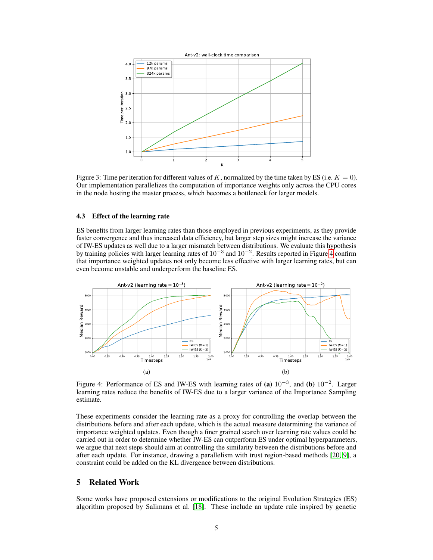<span id="page-4-0"></span>

Figure 3: Time per iteration for different values of K, normalized by the time taken by ES (i.e.  $K = 0$ ). Our implementation parallelizes the computation of importance weights only across the CPU cores in the node hosting the master process, which becomes a bottleneck for larger models.

### 4.3 Effect of the learning rate

ES benefits from larger learning rates than those employed in previous experiments, as they provide faster convergence and thus increased data efficiency, but larger step sizes might increase the variance of IW-ES updates as well due to a larger mismatch between distributions. We evaluate this hypothesis by training policies with larger learning rates of  $10^{-3}$  and  $10^{-2}$ . Results reported in Figure [4](#page-4-1) confirm that importance weighted updates not only become less effective with larger learning rates, but can even become unstable and underperform the baseline ES.

<span id="page-4-1"></span>

Figure 4: Performance of ES and IW-ES with learning rates of (a)  $10^{-3}$ , and (b)  $10^{-2}$ . Larger learning rates reduce the benefits of IW-ES due to a larger variance of the Importance Sampling estimate.

These experiments consider the learning rate as a proxy for controlling the overlap between the distributions before and after each update, which is the actual measure determining the variance of importance weighted updates. Even though a finer grained search over learning rate values could be carried out in order to determine whether IW-ES can outperform ES under optimal hyperparameters, we argue that next steps should aim at controlling the similarity between the distributions before and after each update. For instance, drawing a parallelism with trust region-based methods [\[20,](#page-6-14) [9\]](#page-6-15), a constraint could be added on the KL divergence between distributions.

# 5 Related Work

Some works have proposed extensions or modifications to the original Evolution Strategies (ES) algorithm proposed by Salimans et al. [\[18\]](#page-6-6). These include an update rule inspired by genetic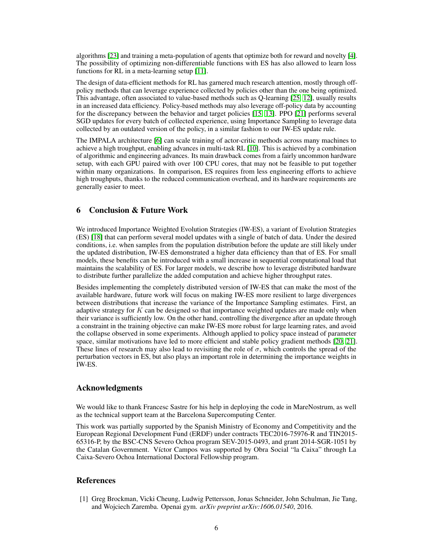algorithms [\[23\]](#page-7-4) and training a meta-population of agents that optimize both for reward and novelty [\[4\]](#page-6-13). The possibility of optimizing non-differentiable functions with ES has also allowed to learn loss functions for RL in a meta-learning setup [\[11\]](#page-6-16).

The design of data-efficient methods for RL has garnered much research attention, mostly through offpolicy methods that can leverage experience collected by policies other than the one being optimized. This advantage, often associated to value-based methods such as Q-learning [\[25,](#page-7-5) [12\]](#page-6-17), usually results in an increased data efficiency. Policy-based methods may also leverage off-policy data by accounting for the discrepancy between the behavior and target policies [\[15,](#page-6-18) [13\]](#page-6-12). PPO [\[21\]](#page-6-11) performs several SGD updates for every batch of collected experience, using Importance Sampling to leverage data collected by an outdated version of the policy, in a similar fashion to our IW-ES update rule.

The IMPALA architecture [\[6\]](#page-6-19) can scale training of actor-critic methods across many machines to achieve a high troughput, enabling advances in multi-task RL [\[10\]](#page-6-20). This is achieved by a combination of algorithmic and engineering advances. Its main drawback comes from a fairly uncommon hardware setup, with each GPU paired with over 100 CPU cores, that may not be feasible to put together within many organizations. In comparison, ES requires from less engineering efforts to achieve high troughputs, thanks to the reduced communication overhead, and its hardware requirements are generally easier to meet.

# 6 Conclusion & Future Work

We introduced Importance Weighted Evolution Strategies (IW-ES), a variant of Evolution Strategies (ES) [\[18\]](#page-6-6) that can perform several model updates with a single of batch of data. Under the desired conditions, i.e. when samples from the population distribution before the update are still likely under the updated distribution, IW-ES demonstrated a higher data efficiency than that of ES. For small models, these benefits can be introduced with a small increase in sequential computational load that maintains the scalability of ES. For larger models, we describe how to leverage distributed hardware to distribute further parallelize the added computation and achieve higher throughput rates.

Besides implementing the completely distributed version of IW-ES that can make the most of the available hardware, future work will focus on making IW-ES more resilient to large divergences between distributions that increase the variance of the Importance Sampling estimates. First, an adaptive strategy for  $K$  can be designed so that importance weighted updates are made only when their variance is sufficiently low. On the other hand, controlling the divergence after an update through a constraint in the training objective can make IW-ES more robust for large learning rates, and avoid the collapse observed in some experiments. Although applied to policy space instead of parameter space, similar motivations have led to more efficient and stable policy gradient methods [\[20,](#page-6-14) [21\]](#page-6-11). These lines of research may also lead to revisiting the role of  $\sigma$ , which controls the spread of the perturbation vectors in ES, but also plays an important role in determining the importance weights in IW-ES.

# Acknowledgments

We would like to thank Francesc Sastre for his help in deploying the code in MareNostrum, as well as the technical support team at the Barcelona Supercomputing Center.

This work was partially supported by the Spanish Ministry of Economy and Competitivity and the European Regional Development Fund (ERDF) under contracts TEC2016-75976-R and TIN2015- 65316-P, by the BSC-CNS Severo Ochoa program SEV-2015-0493, and grant 2014-SGR-1051 by the Catalan Government. Víctor Campos was supported by Obra Social "la Caixa" through La Caixa-Severo Ochoa International Doctoral Fellowship program.

### References

<span id="page-5-0"></span>[1] Greg Brockman, Vicki Cheung, Ludwig Pettersson, Jonas Schneider, John Schulman, Jie Tang, and Wojciech Zaremba. Openai gym. *arXiv preprint arXiv:1606.01540*, 2016.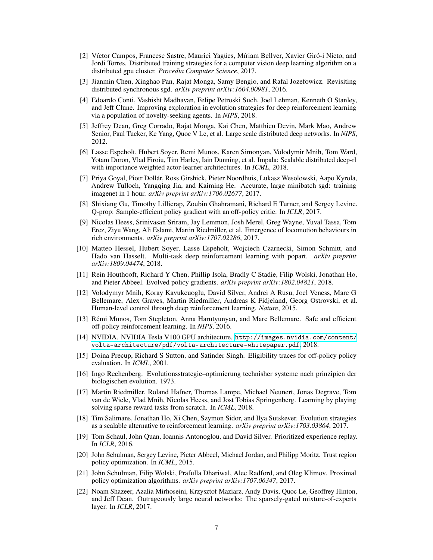- <span id="page-6-4"></span>[2] Víctor Campos, Francesc Sastre, Maurici Yagües, Míriam Bellver, Xavier Giró-i Nieto, and Jordi Torres. Distributed training strategies for a computer vision deep learning algorithm on a distributed gpu cluster. *Procedia Computer Science*, 2017.
- <span id="page-6-3"></span>[3] Jianmin Chen, Xinghao Pan, Rajat Monga, Samy Bengio, and Rafal Jozefowicz. Revisiting distributed synchronous sgd. *arXiv preprint arXiv:1604.00981*, 2016.
- <span id="page-6-13"></span>[4] Edoardo Conti, Vashisht Madhavan, Felipe Petroski Such, Joel Lehman, Kenneth O Stanley, and Jeff Clune. Improving exploration in evolution strategies for deep reinforcement learning via a population of novelty-seeking agents. In *NIPS*, 2018.
- <span id="page-6-1"></span>[5] Jeffrey Dean, Greg Corrado, Rajat Monga, Kai Chen, Matthieu Devin, Mark Mao, Andrew Senior, Paul Tucker, Ke Yang, Quoc V Le, et al. Large scale distributed deep networks. In *NIPS*, 2012.
- <span id="page-6-19"></span>[6] Lasse Espeholt, Hubert Soyer, Remi Munos, Karen Simonyan, Volodymir Mnih, Tom Ward, Yotam Doron, Vlad Firoiu, Tim Harley, Iain Dunning, et al. Impala: Scalable distributed deep-rl with importance weighted actor-learner architectures. In *ICML*, 2018.
- <span id="page-6-5"></span>[7] Priya Goyal, Piotr Dollár, Ross Girshick, Pieter Noordhuis, Lukasz Wesolowski, Aapo Kyrola, Andrew Tulloch, Yangqing Jia, and Kaiming He. Accurate, large minibatch sgd: training imagenet in 1 hour. *arXiv preprint arXiv:1706.02677*, 2017.
- <span id="page-6-9"></span>[8] Shixiang Gu, Timothy Lillicrap, Zoubin Ghahramani, Richard E Turner, and Sergey Levine. Q-prop: Sample-efficient policy gradient with an off-policy critic. In *ICLR*, 2017.
- <span id="page-6-15"></span>[9] Nicolas Heess, Srinivasan Sriram, Jay Lemmon, Josh Merel, Greg Wayne, Yuval Tassa, Tom Erez, Ziyu Wang, Ali Eslami, Martin Riedmiller, et al. Emergence of locomotion behaviours in rich environments. *arXiv preprint arXiv:1707.02286*, 2017.
- <span id="page-6-20"></span>[10] Matteo Hessel, Hubert Soyer, Lasse Espeholt, Wojciech Czarnecki, Simon Schmitt, and Hado van Hasselt. Multi-task deep reinforcement learning with popart. *arXiv preprint arXiv:1809.04474*, 2018.
- <span id="page-6-16"></span>[11] Rein Houthooft, Richard Y Chen, Phillip Isola, Bradly C Stadie, Filip Wolski, Jonathan Ho, and Pieter Abbeel. Evolved policy gradients. *arXiv preprint arXiv:1802.04821*, 2018.
- <span id="page-6-17"></span>[12] Volodymyr Mnih, Koray Kavukcuoglu, David Silver, Andrei A Rusu, Joel Veness, Marc G Bellemare, Alex Graves, Martin Riedmiller, Andreas K Fidjeland, Georg Ostrovski, et al. Human-level control through deep reinforcement learning. *Nature*, 2015.
- <span id="page-6-12"></span>[13] Rémi Munos, Tom Stepleton, Anna Harutyunyan, and Marc Bellemare. Safe and efficient off-policy reinforcement learning. In *NIPS*, 2016.
- <span id="page-6-0"></span>[14] NVIDIA. NVIDIA Tesla V100 GPU architecture. [http://images.nvidia.com/content/](http://images.nvidia.com/content/volta-architecture/pdf/volta-architecture-whitepaper.pdf) [volta-architecture/pdf/volta-architecture-whitepaper.pdf](http://images.nvidia.com/content/volta-architecture/pdf/volta-architecture-whitepaper.pdf), 2018.
- <span id="page-6-18"></span>[15] Doina Precup, Richard S Sutton, and Satinder Singh. Eligibility traces for off-policy policy evaluation. In *ICML*, 2001.
- <span id="page-6-10"></span>[16] Ingo Rechenberg. Evolutionsstrategie–optimierung technisher systeme nach prinzipien der biologischen evolution. 1973.
- <span id="page-6-7"></span>[17] Martin Riedmiller, Roland Hafner, Thomas Lampe, Michael Neunert, Jonas Degrave, Tom van de Wiele, Vlad Mnih, Nicolas Heess, and Jost Tobias Springenberg. Learning by playing solving sparse reward tasks from scratch. In *ICML*, 2018.
- <span id="page-6-6"></span>[18] Tim Salimans, Jonathan Ho, Xi Chen, Szymon Sidor, and Ilya Sutskever. Evolution strategies as a scalable alternative to reinforcement learning. *arXiv preprint arXiv:1703.03864*, 2017.
- <span id="page-6-8"></span>[19] Tom Schaul, John Quan, Ioannis Antonoglou, and David Silver. Prioritized experience replay. In *ICLR*, 2016.
- <span id="page-6-14"></span>[20] John Schulman, Sergey Levine, Pieter Abbeel, Michael Jordan, and Philipp Moritz. Trust region policy optimization. In *ICML*, 2015.
- <span id="page-6-11"></span>[21] John Schulman, Filip Wolski, Prafulla Dhariwal, Alec Radford, and Oleg Klimov. Proximal policy optimization algorithms. *arXiv preprint arXiv:1707.06347*, 2017.
- <span id="page-6-2"></span>[22] Noam Shazeer, Azalia Mirhoseini, Krzysztof Maziarz, Andy Davis, Quoc Le, Geoffrey Hinton, and Jeff Dean. Outrageously large neural networks: The sparsely-gated mixture-of-experts layer. In *ICLR*, 2017.